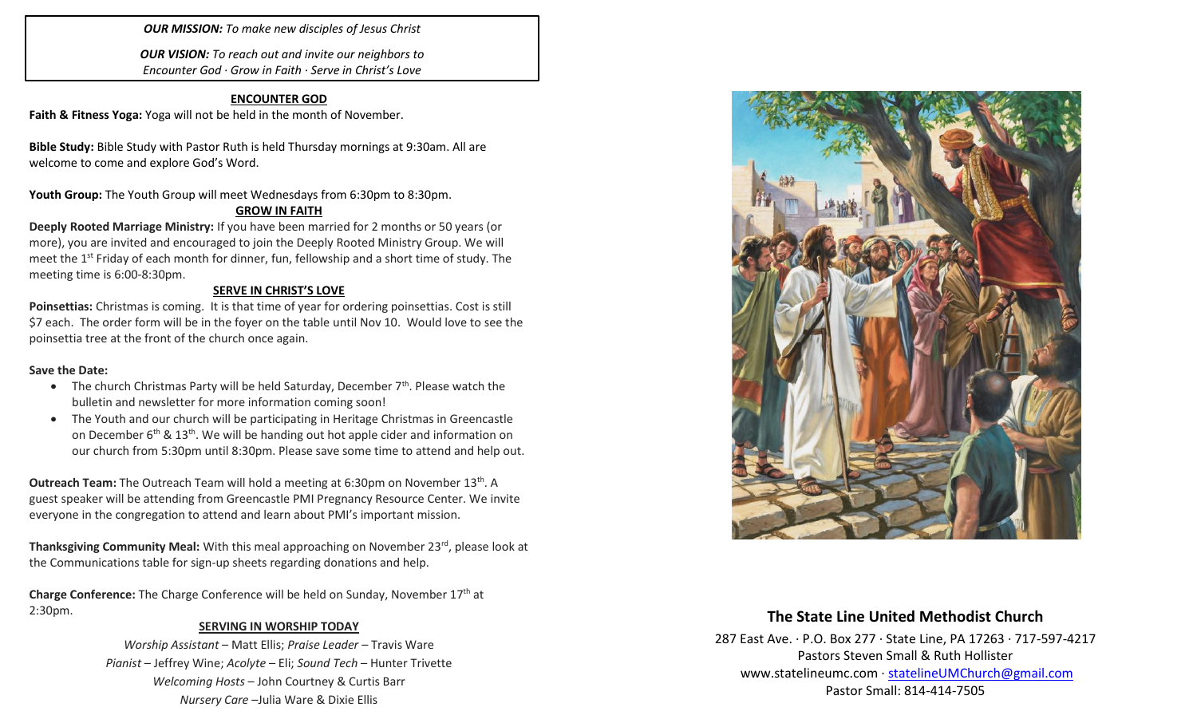### *OUR MISSION: To make new disciples of Jesus Christ*

*OUR VISION: To reach out and invite our neighbors to Encounter God · Grow in Faith · Serve in Christ's Love*

### **ENCOUNTER GOD**

**Faith & Fitness Yoga:** Yoga will not be held in the month of November.

**Bible Study:** Bible Study with Pastor Ruth is held Thursday mornings at 9:30am. All are welcome to come and explore God's Word.

Youth Group: The Youth Group will meet Wednesdays from 6:30pm to 8:30pm.

### **GROW IN FAITH**

**Deeply Rooted Marriage Ministry:** If you have been married for 2 months or 50 years (or more), you are invited and encouraged to join the Deeply Rooted Ministry Group. We will meet the 1<sup>st</sup> Friday of each month for dinner, fun, fellowship and a short time of study. The meeting time is 6:00-8:30pm.

### **SERVE IN CHRIST'S LOVE**

**Poinsettias:** Christmas is coming. It is that time of year for ordering poinsettias. Cost is still \$7 each. The order form will be in the foyer on the table until Nov 10. Would love to see the poinsettia tree at the front of the church once again.

#### **Save the Date:**

- The church Christmas Party will be held Saturday, December  $7<sup>th</sup>$ . Please watch the bulletin and newsletter for more information coming soon!
- The Youth and our church will be participating in Heritage Christmas in Greencastle on December  $6<sup>th</sup>$  & 13<sup>th</sup>. We will be handing out hot apple cider and information on our church from 5:30pm until 8:30pm. Please save some time to attend and help out.

**Outreach Team:** The Outreach Team will hold a meeting at 6:30pm on November 13<sup>th</sup>. A guest speaker will be attending from Greencastle PMI Pregnancy Resource Center. We invite everyone in the congregation to attend and learn about PMI's important mission.

**Thanksgiving Community Meal:** With this meal approaching on November 23<sup>rd</sup>, please look at the Communications table for sign-up sheets regarding donations and help.

**Charge Conference:** The Charge Conference will be held on Sunday, November 17th at 2:30pm.

### **SERVING IN WORSHIP TODAY**

*Worship Assistant* – Matt Ellis; *Praise Leader* – Travis Ware *Pianist* – Jeffrey Wine; *Acolyte* – Eli; *Sound Tech* – Hunter Trivette *Welcoming Hosts* – John Courtney & Curtis Barr *Nursery Care* –Julia Ware & Dixie Ellis



# **The State Line United Methodist Church**

287 East Ave. · P.O. Box 277 · State Line, PA 17263 · 717-597-4217 Pastors Steven Small & Ruth Hollister [www.statelineumc.com](http://www.statelineumc.com/) · [statelineUMChurch@gmail.com](mailto:statelineUMChurch@gmail.com) Pastor Small: 814-414-7505